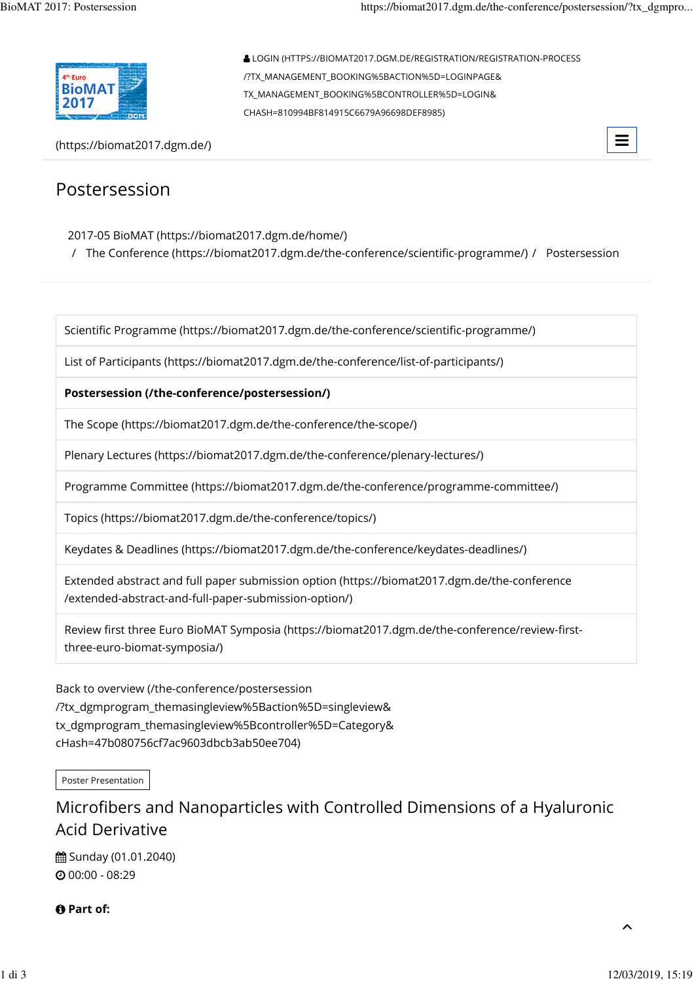

(https://biomat2017.dgm.de/)



## Postersession

### 2017-05 BioMAT (https://biomat2017.dgm.de/home/)

/ The Conference (https://biomat2017.dgm.de/the-conference/scientific-programme/) / Postersession

CHASH=810994BF814915C6679A96698DEF8985)

LOGIN (HTTPS://BIOMAT2017.DGM.DE/REGISTRATION/REGISTRATION-PROCESS

/?TX\_MANAGEMENT\_BOOKING%5BACTION%5D=LOGINPAGE& TX\_MANAGEMENT\_BOOKING%5BCONTROLLER%5D=LOGIN&

Scientific Programme (https://biomat2017.dgm.de/the-conference/scientific-programme/)

List of Participants (https://biomat2017.dgm.de/the-conference/list-of-participants/)

### **Postersession (/the-conference/postersession/)**

The Scope (https://biomat2017.dgm.de/the-conference/the-scope/)

Plenary Lectures (https://biomat2017.dgm.de/the-conference/plenary-lectures/)

Programme Committee (https://biomat2017.dgm.de/the-conference/programme-committee/)

Topics (https://biomat2017.dgm.de/the-conference/topics/)

Keydates & Deadlines (https://biomat2017.dgm.de/the-conference/keydates-deadlines/)

Extended abstract and full paper submission option (https://biomat2017.dgm.de/the-conference /extended-abstract-and-full-paper-submission-option/)

Review first three Euro BioMAT Symposia (https://biomat2017.dgm.de/the-conference/review-firstthree-euro-biomat-symposia/)

Back to overview (/the-conference/postersession /?tx\_dgmprogram\_themasingleview%5Baction%5D=singleview& tx\_dgmprogram\_themasingleview%5Bcontroller%5D=Category& cHash=47b080756cf7ac9603dbcb3ab50ee704)

Poster Presentation

# Microfibers and Nanoparticles with Controlled Dimensions of a Hyaluronic Acid Derivative

**曲 Sunday (01.01.2040)** 00:00 - 08:29

*<u>O* Part of:</u>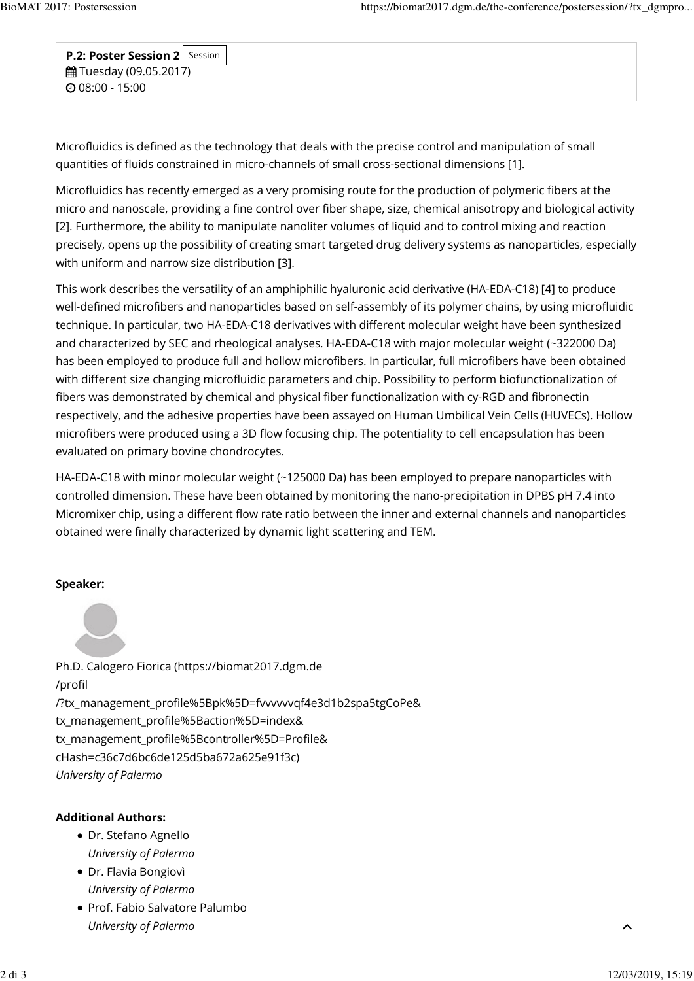**P.2: Poster Session 2**  $m$  Tuesday (09.05.2017)  $O$  08:00 - 15:00 Session

Microfluidics is defined as the technology that deals with the precise control and manipulation of small quantities of fluids constrained in micro-channels of small cross-sectional dimensions [1].

Microfluidics has recently emerged as a very promising route for the production of polymeric fibers at the micro and nanoscale, providing a fine control over fiber shape, size, chemical anisotropy and biological activity [2]. Furthermore, the ability to manipulate nanoliter volumes of liquid and to control mixing and reaction precisely, opens up the possibility of creating smart targeted drug delivery systems as nanoparticles, especially with uniform and narrow size distribution [3].

This work describes the versatility of an amphiphilic hyaluronic acid derivative (HA-EDA-C18) [4] to produce well-defined microfibers and nanoparticles based on self-assembly of its polymer chains, by using microfluidic technique. In particular, two HA-EDA-C18 derivatives with different molecular weight have been synthesized and characterized by SEC and rheological analyses. HA-EDA-C18 with major molecular weight (~322000 Da) has been employed to produce full and hollow microfibers. In particular, full microfibers have been obtained with different size changing microfluidic parameters and chip. Possibility to perform biofunctionalization of fibers was demonstrated by chemical and physical fiber functionalization with cy-RGD and fibronectin respectively, and the adhesive properties have been assayed on Human Umbilical Vein Cells (HUVECs). Hollow microfibers were produced using a 3D flow focusing chip. The potentiality to cell encapsulation has been evaluated on primary bovine chondrocytes.

HA-EDA-C18 with minor molecular weight (~125000 Da) has been employed to prepare nanoparticles with controlled dimension. These have been obtained by monitoring the nano-precipitation in DPBS pH 7.4 into Micromixer chip, using a different flow rate ratio between the inner and external channels and nanoparticles obtained were finally characterized by dynamic light scattering and TEM.

### **Speaker:**

Ph.D. Calogero Fiorica (https://biomat2017.dgm.de /profil /?tx\_management\_profile%5Bpk%5D=fvvvvvvqf4e3d1b2spa5tgCoPe& tx\_management\_profile%5Baction%5D=index& tx\_management\_profile%5Bcontroller%5D=Profile& cHash=c36c7d6bc6de125d5ba672a625e91f3c) *University of Palermo*

### **Additional Authors:**

- Dr. Stefano Agnello *University of Palermo*
- Dr. Flavia Bongiovì *University of Palermo*
- Prof. Fabio Salvatore Palumbo *University of Palermo*